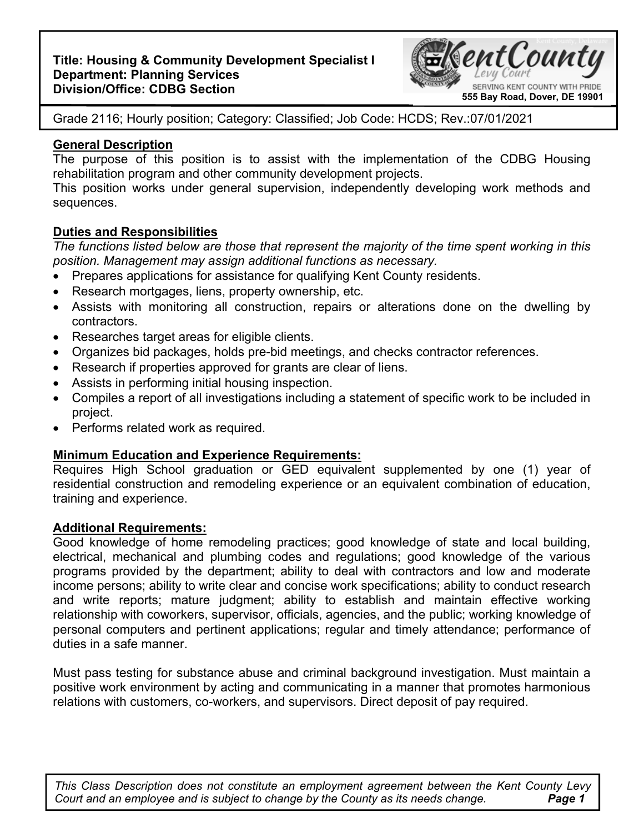# **Title: Housing & Community Development Specialist I Department: Planning Services Division/Office: CDBG Section**



Grade 2116; Hourly position; Category: Classified; Job Code: HCDS; Rev.:07/01/2021

## **General Description**

The purpose of this position is to assist with the implementation of the CDBG Housing rehabilitation program and other community development projects.

This position works under general supervision, independently developing work methods and sequences.

### **Duties and Responsibilities**

*The functions listed below are those that represent the majority of the time spent working in this position. Management may assign additional functions as necessary.* 

- Prepares applications for assistance for qualifying Kent County residents.
- Research mortgages, liens, property ownership, etc.
- Assists with monitoring all construction, repairs or alterations done on the dwelling by contractors.
- Researches target areas for eligible clients.
- Organizes bid packages, holds pre-bid meetings, and checks contractor references.
- Research if properties approved for grants are clear of liens.
- Assists in performing initial housing inspection.
- Compiles a report of all investigations including a statement of specific work to be included in project.
- Performs related work as required.

# **Minimum Education and Experience Requirements:**

Requires High School graduation or GED equivalent supplemented by one (1) year of residential construction and remodeling experience or an equivalent combination of education, training and experience.

#### **Additional Requirements:**

Good knowledge of home remodeling practices; good knowledge of state and local building, electrical, mechanical and plumbing codes and regulations; good knowledge of the various programs provided by the department; ability to deal with contractors and low and moderate income persons; ability to write clear and concise work specifications; ability to conduct research and write reports; mature judgment; ability to establish and maintain effective working relationship with coworkers, supervisor, officials, agencies, and the public; working knowledge of personal computers and pertinent applications; regular and timely attendance; performance of duties in a safe manner.

Must pass testing for substance abuse and criminal background investigation. Must maintain a positive work environment by acting and communicating in a manner that promotes harmonious relations with customers, co-workers, and supervisors. Direct deposit of pay required.

**Page 1** *This Class Description does not constitute an employment agreement between the Kent County Levy Court and an employee and is subject to change by the County as its needs change.*